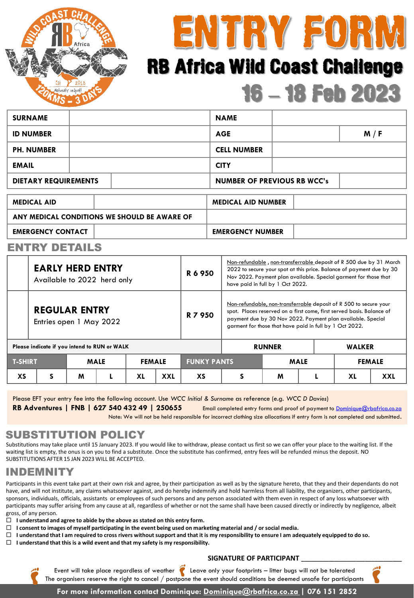



# 16 **–** 18 Feb 2023 RB Africa Wild Coast Challenge

| <b>SURNAME</b>                               |  |                                    | <b>NAME</b>               |     |  |  |  |
|----------------------------------------------|--|------------------------------------|---------------------------|-----|--|--|--|
| <b>ID NUMBER</b>                             |  | <b>AGE</b>                         |                           | M/F |  |  |  |
| <b>PH. NUMBER</b>                            |  | <b>CELL NUMBER</b>                 |                           |     |  |  |  |
| <b>EMAIL</b>                                 |  |                                    | <b>CITY</b>               |     |  |  |  |
| <b>DIETARY REQUIREMENTS</b>                  |  | <b>NUMBER OF PREVIOUS RB WCC's</b> |                           |     |  |  |  |
|                                              |  |                                    |                           |     |  |  |  |
| <b>MEDICAL AID</b>                           |  |                                    | <b>MEDICAL AID NUMBER</b> |     |  |  |  |
| ANY MEDICAL CONDITIONS WE SHOULD BE AWARE OF |  |                                    |                           |     |  |  |  |
| <b>EMERGENCY CONTACT</b>                     |  | <b>EMERGENCY NUMBER</b>            |                           |     |  |  |  |

#### ENTRY DETAILS

|                                              | <b>EARLY HERD ENTRY</b><br>Available to 2022 herd only |             |               | R 6 950            | Non-refundable, non-transferrable deposit of R 500 due by 31 March<br>2022 to secure your spot at this price. Balance of payment due by 30<br>Nov 2022. Payment plan available. Special garment for those that<br>have paid in full by 1 Oct 2022.                   |               |  |               |
|----------------------------------------------|--------------------------------------------------------|-------------|---------------|--------------------|----------------------------------------------------------------------------------------------------------------------------------------------------------------------------------------------------------------------------------------------------------------------|---------------|--|---------------|
|                                              | <b>REGULAR ENTRY</b><br>Entries open 1 May 2022        |             |               | R 7 950            | Non-refundable, non-transferrable deposit of R 500 to secure your<br>spot. Places reserved on a first come, first served basis. Balance of<br>payment due by 30 Nov 2022. Payment plan available. Special<br>garment for those that have paid in full by 1 Oct 2022. |               |  |               |
| Please indicate if you intend to RUN or WALK |                                                        |             |               | <b>RUNNER</b>      |                                                                                                                                                                                                                                                                      | <b>WALKER</b> |  |               |
| <b>T-SHIRT</b>                               |                                                        | <b>MALE</b> | <b>FEMALE</b> | <b>FUNKY PANTS</b> |                                                                                                                                                                                                                                                                      | <b>MALE</b>   |  | <b>FEMALE</b> |

**XS S M L XL XXL XS S M L XL XXL**

Please EFT your entry fee into the following account. Use *WCC Initial & Surname* as reference (e.g. *WCC D Davies*)

**RB Adventures | FNB | 627 540 432 49 | 250655** Email completed entry forms and proof of payment to [Dominique@rbafrica.co.za](mailto:Dominique@rbafrica.co.za)

Note: We will not be held responsible for incorrect clothing size allocations if entry form is not completed and submitted.

#### SUBSTITUTION POLICY

Substitutions may take place until 15 January 2023. If you would like to withdraw, please contact us first so we can offer your place to the waiting list. If the waiting list is empty, the onus is on you to find a substitute. Once the substitute has confirmed, entry fees will be refunded minus the deposit. NO SUBSTITUTIONS AFTER 15 JAN 2023 WILL BE ACCEPTED.

#### INDEMNITY

Participants in this event take part at their own risk and agree, by their participation as well as by the signature hereto, that they and their dependants do not have, and will not institute, any claims whatsoever against, and do hereby indemnify and hold harmless from all liability, the organizers, other participants, sponsors, individuals, officials, assistants or employees of such persons and any person associated with them even in respect of any loss whatsoever with participants may suffer arising from any cause at all, regardless of whether or not the same shall have been caused directly or indirectly by negligence, albeit gross, of any person.

- **I understand and agree to abide by the above as stated on this entry form.**
- **I consent to images of myself participating in the event being used on marketing material and / or social media.**
- **I understand that I am required to cross rivers without support and that it is my responsibility to ensure I am adequately equipped to do so.**
- **I understand that this is a wild event and that my safety is my responsibility.**

#### **SIGNATURE OF PARTICIPANT \_\_\_\_\_\_\_\_\_\_\_\_\_\_\_\_\_\_\_\_\_\_\_\_\_\_\_\_\_\_\_\_\_**



Event will take place regardless of weather  $\overrightarrow{C}$  Leave only your footprints – litter bugs will not be tolerated The organisers reserve the right to cancel / postpone the event should conditions be deemed unsafe for participants

**For more information contact Dominique: Dominique@rbafrica.co.za | 076 151 2852**